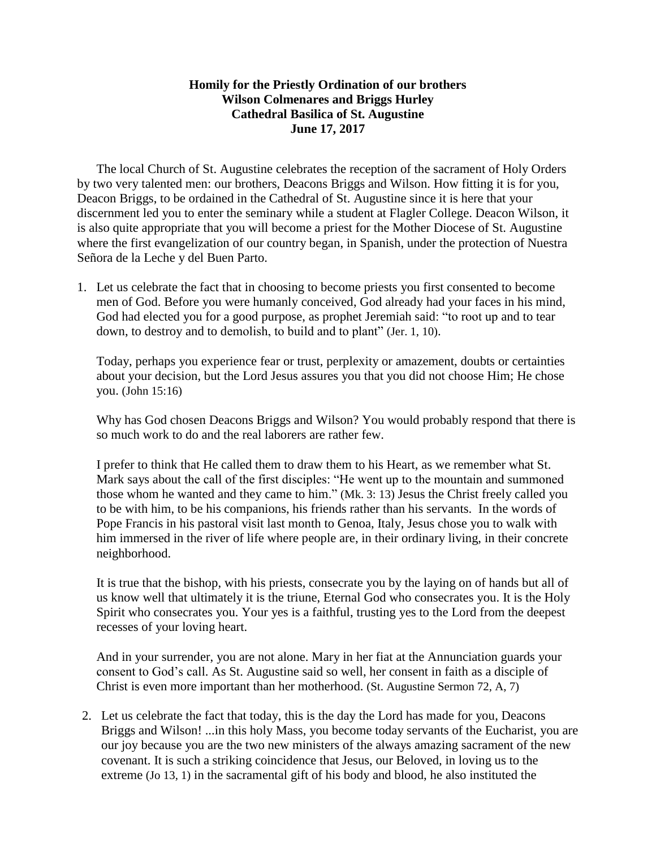## **Homily for the Priestly Ordination of our brothers Wilson Colmenares and Briggs Hurley Cathedral Basilica of St. Augustine June 17, 2017**

The local Church of St. Augustine celebrates the reception of the sacrament of Holy Orders by two very talented men: our brothers, Deacons Briggs and Wilson. How fitting it is for you, Deacon Briggs, to be ordained in the Cathedral of St. Augustine since it is here that your discernment led you to enter the seminary while a student at Flagler College. Deacon Wilson, it is also quite appropriate that you will become a priest for the Mother Diocese of St. Augustine where the first evangelization of our country began, in Spanish, under the protection of Nuestra Señora de la Leche y del Buen Parto.

1. Let us celebrate the fact that in choosing to become priests you first consented to become men of God. Before you were humanly conceived, God already had your faces in his mind, God had elected you for a good purpose, as prophet Jeremiah said: "to root up and to tear down, to destroy and to demolish, to build and to plant" (Jer. 1, 10).

Today, perhaps you experience fear or trust, perplexity or amazement, doubts or certainties about your decision, but the Lord Jesus assures you that you did not choose Him; He chose you. (John 15:16)

Why has God chosen Deacons Briggs and Wilson? You would probably respond that there is so much work to do and the real laborers are rather few.

I prefer to think that He called them to draw them to his Heart, as we remember what St. Mark says about the call of the first disciples: "He went up to the mountain and summoned those whom he wanted and they came to him." (Mk. 3: 13) Jesus the Christ freely called you to be with him, to be his companions, his friends rather than his servants. In the words of Pope Francis in his pastoral visit last month to Genoa, Italy, Jesus chose you to walk with him immersed in the river of life where people are, in their ordinary living, in their concrete neighborhood.

It is true that the bishop, with his priests, consecrate you by the laying on of hands but all of us know well that ultimately it is the triune, Eternal God who consecrates you. It is the Holy Spirit who consecrates you. Your yes is a faithful, trusting yes to the Lord from the deepest recesses of your loving heart.

And in your surrender, you are not alone. Mary in her fiat at the Annunciation guards your consent to God's call. As St. Augustine said so well, her consent in faith as a disciple of Christ is even more important than her motherhood. (St. Augustine Sermon 72, A, 7)

2. Let us celebrate the fact that today, this is the day the Lord has made for you, Deacons Briggs and Wilson! ...in this holy Mass, you become today servants of the Eucharist, you are our joy because you are the two new ministers of the always amazing sacrament of the new covenant. It is such a striking coincidence that Jesus, our Beloved, in loving us to the extreme (Jo 13, 1) in the sacramental gift of his body and blood, he also instituted the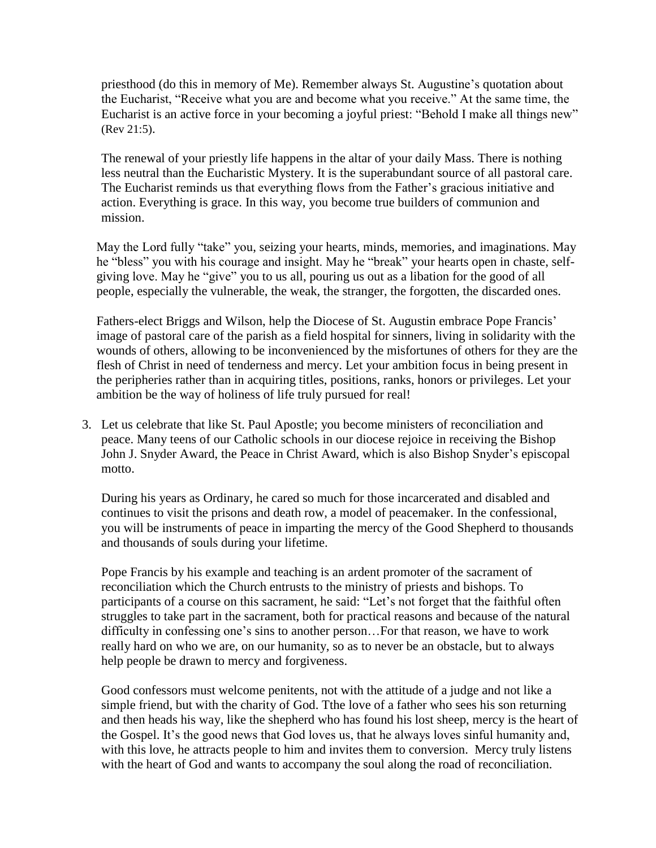priesthood (do this in memory of Me). Remember always St. Augustine's quotation about the Eucharist, "Receive what you are and become what you receive." At the same time, the Eucharist is an active force in your becoming a joyful priest: "Behold I make all things new" (Rev 21:5).

The renewal of your priestly life happens in the altar of your daily Mass. There is nothing less neutral than the Eucharistic Mystery. It is the superabundant source of all pastoral care. The Eucharist reminds us that everything flows from the Father's gracious initiative and action. Everything is grace. In this way, you become true builders of communion and mission.

May the Lord fully "take" you, seizing your hearts, minds, memories, and imaginations. May he "bless" you with his courage and insight. May he "break" your hearts open in chaste, selfgiving love. May he "give" you to us all, pouring us out as a libation for the good of all people, especially the vulnerable, the weak, the stranger, the forgotten, the discarded ones.

Fathers-elect Briggs and Wilson, help the Diocese of St. Augustin embrace Pope Francis' image of pastoral care of the parish as a field hospital for sinners, living in solidarity with the wounds of others, allowing to be inconvenienced by the misfortunes of others for they are the flesh of Christ in need of tenderness and mercy. Let your ambition focus in being present in the peripheries rather than in acquiring titles, positions, ranks, honors or privileges. Let your ambition be the way of holiness of life truly pursued for real!

3. Let us celebrate that like St. Paul Apostle; you become ministers of reconciliation and peace. Many teens of our Catholic schools in our diocese rejoice in receiving the Bishop John J. Snyder Award, the Peace in Christ Award, which is also Bishop Snyder's episcopal motto.

During his years as Ordinary, he cared so much for those incarcerated and disabled and continues to visit the prisons and death row, a model of peacemaker. In the confessional, you will be instruments of peace in imparting the mercy of the Good Shepherd to thousands and thousands of souls during your lifetime.

Pope Francis by his example and teaching is an ardent promoter of the sacrament of reconciliation which the Church entrusts to the ministry of priests and bishops. To participants of a course on this sacrament, he said: "Let's not forget that the faithful often struggles to take part in the sacrament, both for practical reasons and because of the natural difficulty in confessing one's sins to another person…For that reason, we have to work really hard on who we are, on our humanity, so as to never be an obstacle, but to always help people be drawn to mercy and forgiveness.

Good confessors must welcome penitents, not with the attitude of a judge and not like a simple friend, but with the charity of God. Tthe love of a father who sees his son returning and then heads his way, like the shepherd who has found his lost sheep, mercy is the heart of the Gospel. It's the good news that God loves us, that he always loves sinful humanity and, with this love, he attracts people to him and invites them to conversion. Mercy truly listens with the heart of God and wants to accompany the soul along the road of reconciliation.